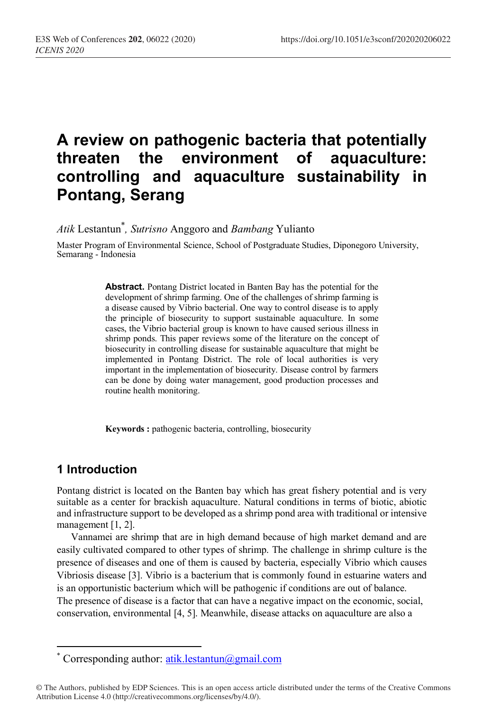# **A review on pathogenic bacteria that potentially threaten the environment of aquaculture: controlling and aquaculture sustainability in Pontang, Serang**

*Atik* Lestantun\* *, Sutrisno* Anggoro and *Bambang* Yulianto

Master Program of Environmental Science, School of Postgraduate Studies, Diponegoro University, Semarang - Indonesia

> **Abstract.** Pontang District located in Banten Bay has the potential for the development of shrimp farming. One of the challenges of shrimp farming is a disease caused by Vibrio bacterial. One way to control disease is to apply the principle of biosecurity to support sustainable aquaculture. In some cases, the Vibrio bacterial group is known to have caused serious illness in shrimp ponds. This paper reviews some of the literature on the concept of biosecurity in controlling disease for sustainable aquaculture that might be implemented in Pontang District. The role of local authorities is very important in the implementation of biosecurity. Disease control by farmers can be done by doing water management, good production processes and routine health monitoring.

**Keywords :** pathogenic bacteria, controlling, biosecurity

## **1 Introduction**

 $\overline{\phantom{a}}$ 

Pontang district is located on the Banten bay which has great fishery potential and is very suitable as a center for brackish aquaculture. Natural conditions in terms of biotic, abiotic and infrastructure support to be developed as a shrimp pond area with traditional or intensive management [1, 2].

Vannamei are shrimp that are in high demand because of high market demand and are easily cultivated compared to other types of shrimp. The challenge in shrimp culture is the presence of diseases and one of them is caused by bacteria, especially Vibrio which causes Vibriosis disease [3]. Vibrio is a bacterium that is commonly found in estuarine waters and is an opportunistic bacterium which will be pathogenic if conditions are out of balance. The presence of disease is a factor that can have a negative impact on the economic, social, conservation, environmental [4, 5]. Meanwhile, disease attacks on aquaculture are also a

<sup>\*</sup> Corresponding author: atik.lestantun@gmail.com

<sup>©</sup> The Authors, published by EDP Sciences. This is an open access article distributed under the terms of the Creative Commons Attribution License 4.0 (http://creativecommons.org/licenses/by/4.0/).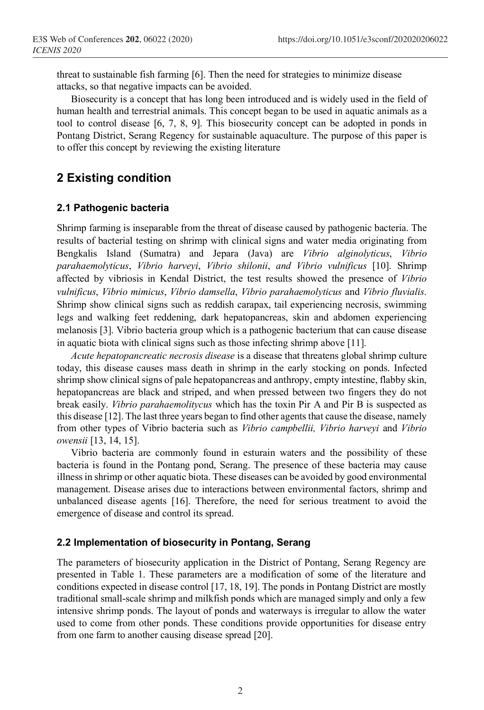threat to sustainable fish farming [6]. Then the need for strategies to minimize disease attacks, so that negative impacts can be avoided.

Biosecurity is a concept that has long been introduced and is widely used in the field of human health and terrestrial animals. This concept began to be used in aquatic animals as a tool to control disease [6, 7, 8, 9]. This biosecurity concept can be adopted in ponds in Pontang District, Serang Regency for sustainable aquaculture. The purpose of this paper is to offer this concept by reviewing the existing literature

# **2 Existing condition**

### **2.1 Pathogenic bacteria**

Shrimp farming is inseparable from the threat of disease caused by pathogenic bacteria. The results of bacterial testing on shrimp with clinical signs and water media originating from Bengkalis Island (Sumatra) and Jepara (Java) are *Vibrio alginolyticus*, *Vibrio parahaemolyticus*, *Vibrio harveyi*, *Vibrio shilonii*, *and Vibrio vulnificus* [10]. Shrimp affected by vibriosis in Kendal District, the test results showed the presence of *Vibrio vulnificus*, *Vibrio mimicus*, *Vibrio damsella*, *Vibrio parahaemolyticus* and *Vibrio fluvialis*. Shrimp show clinical signs such as reddish carapax, tail experiencing necrosis, swimming legs and walking feet reddening, dark hepatopancreas, skin and abdomen experiencing melanosis [3]. Vibrio bacteria group which is a pathogenic bacterium that can cause disease in aquatic biota with clinical signs such as those infecting shrimp above [11].

*Acute hepatopancreatic necrosis disease* is a disease that threatens global shrimp culture today, this disease causes mass death in shrimp in the early stocking on ponds. Infected shrimp show clinical signs of pale hepatopancreas and anthropy, empty intestine, flabby skin, hepatopancreas are black and striped, and when pressed between two fingers they do not break easily. *Vibrio parahaemolitycus* which has the toxin Pir A and Pir B is suspected as this disease [12]. The last three years began to find other agents that cause the disease, namely from other types of Vibrio bacteria such as *Vibrio campbellii, Vibrio harveyi* and *Vibrio owensii* [13, 14, 15].

Vibrio bacteria are commonly found in esturain waters and the possibility of these bacteria is found in the Pontang pond, Serang. The presence of these bacteria may cause illness in shrimp or other aquatic biota. These diseases can be avoided by good environmental management. Disease arises due to interactions between environmental factors, shrimp and unbalanced disease agents [16]. Therefore, the need for serious treatment to avoid the emergence of disease and control its spread.

### **2.2 Implementation of biosecurity in Pontang, Serang**

The parameters of biosecurity application in the District of Pontang, Serang Regency are presented in Table 1. These parameters are a modification of some of the literature and conditions expected in disease control [17, 18, 19]. The ponds in Pontang District are mostly traditional small-scale shrimp and milkfish ponds which are managed simply and only a few intensive shrimp ponds. The layout of ponds and waterways is irregular to allow the water used to come from other ponds. These conditions provide opportunities for disease entry from one farm to another causing disease spread [20].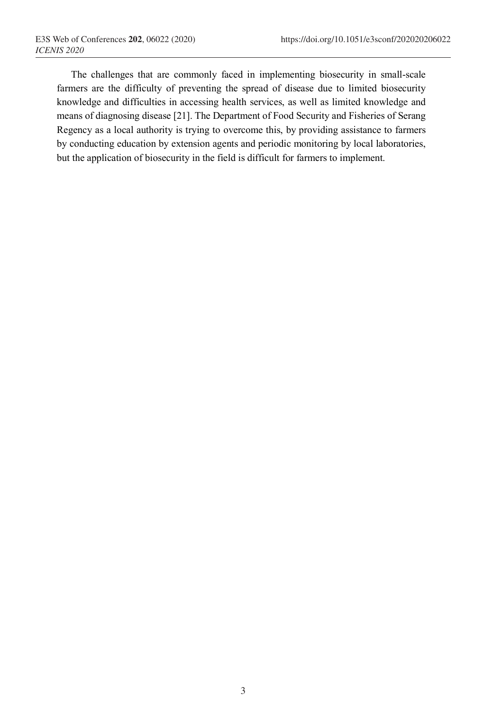The challenges that are commonly faced in implementing biosecurity in small-scale farmers are the difficulty of preventing the spread of disease due to limited biosecurity knowledge and difficulties in accessing health services, as well as limited knowledge and means of diagnosing disease [21]. The Department of Food Security and Fisheries of Serang Regency as a local authority is trying to overcome this, by providing assistance to farmers by conducting education by extension agents and periodic monitoring by local laboratories, but the application of biosecurity in the field is difficult for farmers to implement.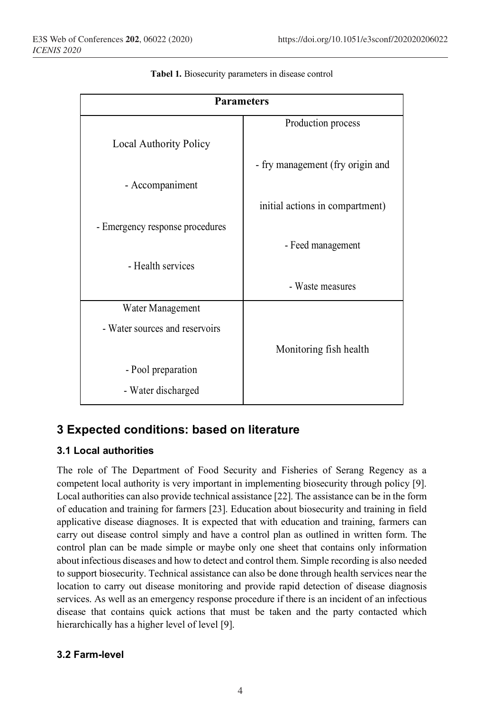| <b>Parameters</b>               |                                  |
|---------------------------------|----------------------------------|
|                                 | Production process               |
| <b>Local Authority Policy</b>   |                                  |
|                                 | - fry management (fry origin and |
| - Accompaniment                 |                                  |
|                                 | initial actions in compartment)  |
| - Emergency response procedures |                                  |
|                                 | - Feed management                |
| - Health services               |                                  |
|                                 | - Waste measures                 |
| Water Management                |                                  |
| - Water sources and reservoirs  |                                  |
|                                 | Monitoring fish health           |
| - Pool preparation              |                                  |
| - Water discharged              |                                  |

**Tabel 1.** Biosecurity parameters in disease control

## **3 Expected conditions: based on literature**

#### **3.1 Local authorities**

The role of The Department of Food Security and Fisheries of Serang Regency as a competent local authority is very important in implementing biosecurity through policy [9]. Local authorities can also provide technical assistance [22]. The assistance can be in the form of education and training for farmers [23]. Education about biosecurity and training in field applicative disease diagnoses. It is expected that with education and training, farmers can carry out disease control simply and have a control plan as outlined in written form. The control plan can be made simple or maybe only one sheet that contains only information about infectious diseases and how to detect and control them. Simple recording is also needed to support biosecurity. Technical assistance can also be done through health services near the location to carry out disease monitoring and provide rapid detection of disease diagnosis services. As well as an emergency response procedure if there is an incident of an infectious disease that contains quick actions that must be taken and the party contacted which hierarchically has a higher level of level [9].

#### **3.2 Farm-level**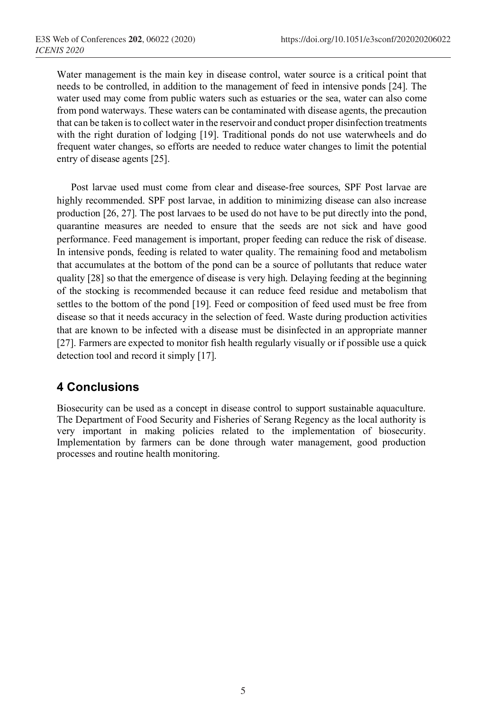Water management is the main key in disease control, water source is a critical point that needs to be controlled, in addition to the management of feed in intensive ponds [24]. The water used may come from public waters such as estuaries or the sea, water can also come from pond waterways. These waters can be contaminated with disease agents, the precaution that can be taken is to collect water in the reservoir and conduct proper disinfection treatments with the right duration of lodging [19]. Traditional ponds do not use waterwheels and do frequent water changes, so efforts are needed to reduce water changes to limit the potential entry of disease agents [25].

Post larvae used must come from clear and disease-free sources, SPF Post larvae are highly recommended. SPF post larvae, in addition to minimizing disease can also increase production [26, 27]. The post larvaes to be used do not have to be put directly into the pond, quarantine measures are needed to ensure that the seeds are not sick and have good performance. Feed management is important, proper feeding can reduce the risk of disease. In intensive ponds, feeding is related to water quality. The remaining food and metabolism that accumulates at the bottom of the pond can be a source of pollutants that reduce water quality [28] so that the emergence of disease is very high. Delaying feeding at the beginning of the stocking is recommended because it can reduce feed residue and metabolism that settles to the bottom of the pond [19]. Feed or composition of feed used must be free from disease so that it needs accuracy in the selection of feed. Waste during production activities that are known to be infected with a disease must be disinfected in an appropriate manner [27]. Farmers are expected to monitor fish health regularly visually or if possible use a quick detection tool and record it simply [17].

## **4 Conclusions**

Biosecurity can be used as a concept in disease control to support sustainable aquaculture. The Department of Food Security and Fisheries of Serang Regency as the local authority is very important in making policies related to the implementation of biosecurity. Implementation by farmers can be done through water management, good production processes and routine health monitoring.